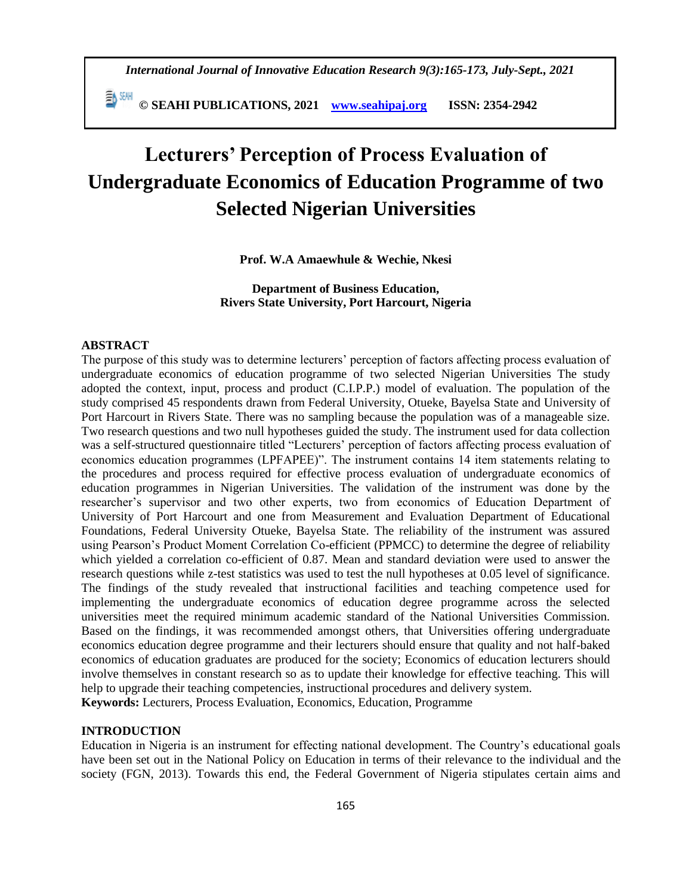*International Journal of Innovative Education Research 9(3):165-173, July-Sept., 2021*

 **© SEAHI PUBLICATIONS, 2021 [www.seahipaj.org](http://www.seahipaj.org/) ISSN: 2354-2942**

# **Lecturers' Perception of Process Evaluation of Undergraduate Economics of Education Programme of two Selected Nigerian Universities**

**Prof. W.A Amaewhule & Wechie, Nkesi**

**Department of Business Education, Rivers State University, Port Harcourt, Nigeria**

#### **ABSTRACT**

The purpose of this study was to determine lecturers' perception of factors affecting process evaluation of undergraduate economics of education programme of two selected Nigerian Universities The study adopted the context, input, process and product (C.I.P.P.) model of evaluation. The population of the study comprised 45 respondents drawn from Federal University, Otueke, Bayelsa State and University of Port Harcourt in Rivers State. There was no sampling because the population was of a manageable size. Two research questions and two null hypotheses guided the study. The instrument used for data collection was a self-structured questionnaire titled "Lecturers' perception of factors affecting process evaluation of economics education programmes (LPFAPEE)". The instrument contains 14 item statements relating to the procedures and process required for effective process evaluation of undergraduate economics of education programmes in Nigerian Universities. The validation of the instrument was done by the researcher's supervisor and two other experts, two from economics of Education Department of University of Port Harcourt and one from Measurement and Evaluation Department of Educational Foundations, Federal University Otueke, Bayelsa State. The reliability of the instrument was assured using Pearson's Product Moment Correlation Co-efficient (PPMCC) to determine the degree of reliability which yielded a correlation co-efficient of 0.87. Mean and standard deviation were used to answer the research questions while z-test statistics was used to test the null hypotheses at 0.05 level of significance. The findings of the study revealed that instructional facilities and teaching competence used for implementing the undergraduate economics of education degree programme across the selected universities meet the required minimum academic standard of the National Universities Commission. Based on the findings, it was recommended amongst others, that Universities offering undergraduate economics education degree programme and their lecturers should ensure that quality and not half-baked economics of education graduates are produced for the society; Economics of education lecturers should involve themselves in constant research so as to update their knowledge for effective teaching. This will help to upgrade their teaching competencies, instructional procedures and delivery system. **Keywords:** Lecturers, Process Evaluation, Economics, Education, Programme

#### **INTRODUCTION**

Education in Nigeria is an instrument for effecting national development. The Country's educational goals have been set out in the National Policy on Education in terms of their relevance to the individual and the society (FGN, 2013). Towards this end, the Federal Government of Nigeria stipulates certain aims and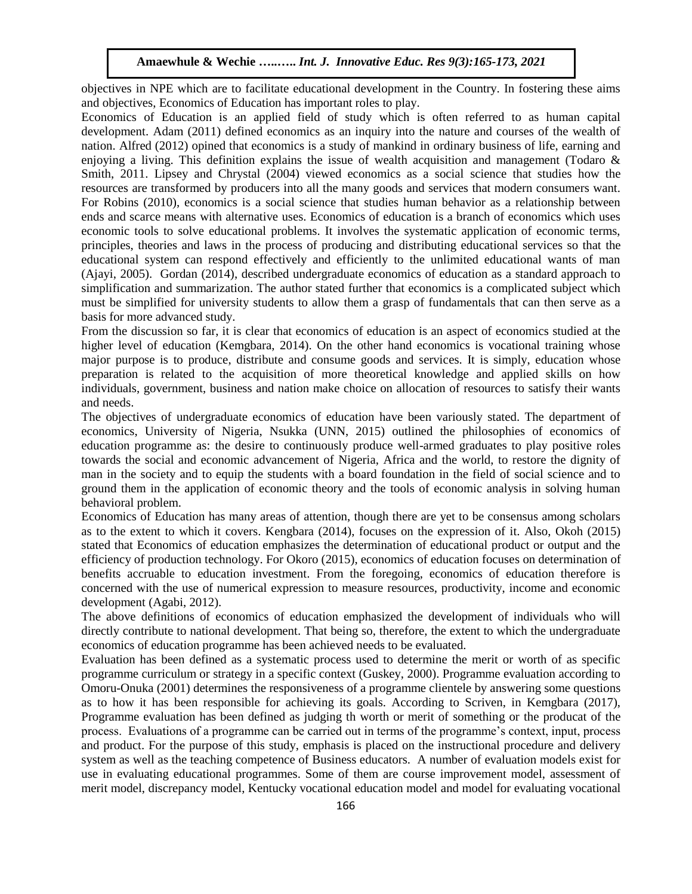objectives in NPE which are to facilitate educational development in the Country. In fostering these aims and objectives, Economics of Education has important roles to play.

Economics of Education is an applied field of study which is often referred to as human capital development. Adam (2011) defined economics as an inquiry into the nature and courses of the wealth of nation. Alfred (2012) opined that economics is a study of mankind in ordinary business of life, earning and enjoying a living. This definition explains the issue of wealth acquisition and management (Todaro & Smith, 2011. Lipsey and Chrystal (2004) viewed economics as a social science that studies how the resources are transformed by producers into all the many goods and services that modern consumers want. For Robins (2010), economics is a social science that studies human behavior as a relationship between ends and scarce means with alternative uses. Economics of education is a branch of economics which uses economic tools to solve educational problems. It involves the systematic application of economic terms, principles, theories and laws in the process of producing and distributing educational services so that the educational system can respond effectively and efficiently to the unlimited educational wants of man (Ajayi, 2005). Gordan (2014), described undergraduate economics of education as a standard approach to simplification and summarization. The author stated further that economics is a complicated subject which must be simplified for university students to allow them a grasp of fundamentals that can then serve as a basis for more advanced study.

From the discussion so far, it is clear that economics of education is an aspect of economics studied at the higher level of education (Kemgbara, 2014). On the other hand economics is vocational training whose major purpose is to produce, distribute and consume goods and services. It is simply, education whose preparation is related to the acquisition of more theoretical knowledge and applied skills on how individuals, government, business and nation make choice on allocation of resources to satisfy their wants and needs.

The objectives of undergraduate economics of education have been variously stated. The department of economics, University of Nigeria, Nsukka (UNN, 2015) outlined the philosophies of economics of education programme as: the desire to continuously produce well-armed graduates to play positive roles towards the social and economic advancement of Nigeria, Africa and the world, to restore the dignity of man in the society and to equip the students with a board foundation in the field of social science and to ground them in the application of economic theory and the tools of economic analysis in solving human behavioral problem.

Economics of Education has many areas of attention, though there are yet to be consensus among scholars as to the extent to which it covers. Kengbara (2014), focuses on the expression of it. Also, Okoh (2015) stated that Economics of education emphasizes the determination of educational product or output and the efficiency of production technology. For Okoro (2015), economics of education focuses on determination of benefits accruable to education investment. From the foregoing, economics of education therefore is concerned with the use of numerical expression to measure resources, productivity, income and economic development (Agabi, 2012).

The above definitions of economics of education emphasized the development of individuals who will directly contribute to national development. That being so, therefore, the extent to which the undergraduate economics of education programme has been achieved needs to be evaluated.

Evaluation has been defined as a systematic process used to determine the merit or worth of as specific programme curriculum or strategy in a specific context (Guskey, 2000). Programme evaluation according to Omoru-Onuka (2001) determines the responsiveness of a programme clientele by answering some questions as to how it has been responsible for achieving its goals. According to Scriven, in Kemgbara (2017), Programme evaluation has been defined as judging th worth or merit of something or the producat of the process. Evaluations of a programme can be carried out in terms of the programme's context, input, process and product. For the purpose of this study, emphasis is placed on the instructional procedure and delivery system as well as the teaching competence of Business educators. A number of evaluation models exist for use in evaluating educational programmes. Some of them are course improvement model, assessment of merit model, discrepancy model, Kentucky vocational education model and model for evaluating vocational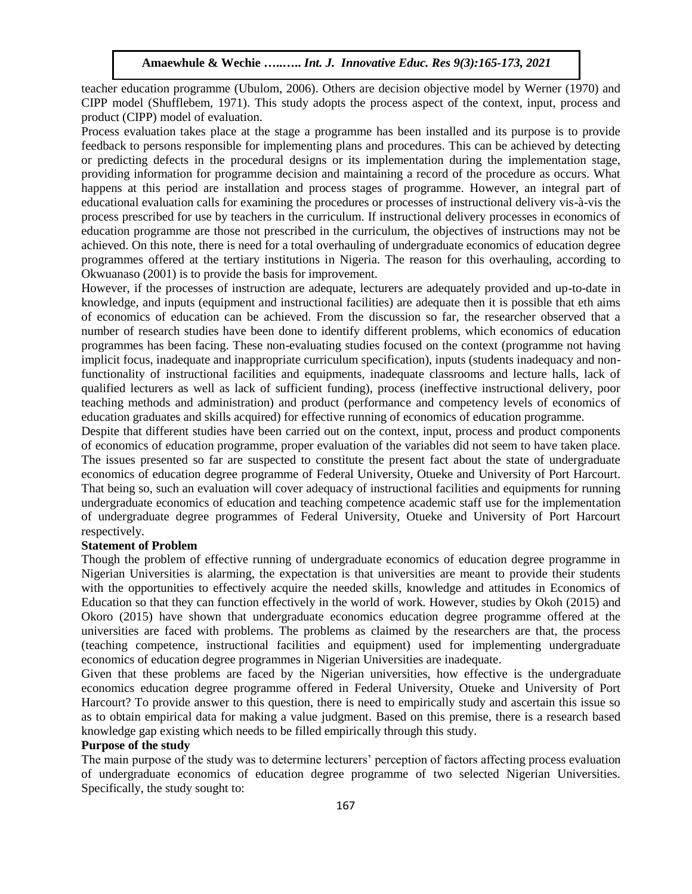teacher education programme (Ubulom, 2006). Others are decision objective model by Werner (1970) and CIPP model (Shufflebem, 1971). This study adopts the process aspect of the context, input, process and product (CIPP) model of evaluation.

Process evaluation takes place at the stage a programme has been installed and its purpose is to provide feedback to persons responsible for implementing plans and procedures. This can be achieved by detecting or predicting defects in the procedural designs or its implementation during the implementation stage, providing information for programme decision and maintaining a record of the procedure as occurs. What happens at this period are installation and process stages of programme. However, an integral part of educational evaluation calls for examining the procedures or processes of instructional delivery vis-à-vis the process prescribed for use by teachers in the curriculum. If instructional delivery processes in economics of education programme are those not prescribed in the curriculum, the objectives of instructions may not be achieved. On this note, there is need for a total overhauling of undergraduate economics of education degree programmes offered at the tertiary institutions in Nigeria. The reason for this overhauling, according to Okwuanaso (2001) is to provide the basis for improvement.

However, if the processes of instruction are adequate, lecturers are adequately provided and up-to-date in knowledge, and inputs (equipment and instructional facilities) are adequate then it is possible that eth aims of economics of education can be achieved. From the discussion so far, the researcher observed that a number of research studies have been done to identify different problems, which economics of education programmes has been facing. These non-evaluating studies focused on the context (programme not having implicit focus, inadequate and inappropriate curriculum specification), inputs (students inadequacy and nonfunctionality of instructional facilities and equipments, inadequate classrooms and lecture halls, lack of qualified lecturers as well as lack of sufficient funding), process (ineffective instructional delivery, poor teaching methods and administration) and product (performance and competency levels of economics of education graduates and skills acquired) for effective running of economics of education programme.

Despite that different studies have been carried out on the context, input, process and product components of economics of education programme, proper evaluation of the variables did not seem to have taken place. The issues presented so far are suspected to constitute the present fact about the state of undergraduate economics of education degree programme of Federal University, Otueke and University of Port Harcourt. That being so, such an evaluation will cover adequacy of instructional facilities and equipments for running undergraduate economics of education and teaching competence academic staff use for the implementation of undergraduate degree programmes of Federal University, Otueke and University of Port Harcourt respectively.

### **Statement of Problem**

Though the problem of effective running of undergraduate economics of education degree programme in Nigerian Universities is alarming, the expectation is that universities are meant to provide their students with the opportunities to effectively acquire the needed skills, knowledge and attitudes in Economics of Education so that they can function effectively in the world of work. However, studies by Okoh (2015) and Okoro (2015) have shown that undergraduate economics education degree programme offered at the universities are faced with problems. The problems as claimed by the researchers are that, the process (teaching competence, instructional facilities and equipment) used for implementing undergraduate economics of education degree programmes in Nigerian Universities are inadequate.

Given that these problems are faced by the Nigerian universities, how effective is the undergraduate economics education degree programme offered in Federal University, Otueke and University of Port Harcourt? To provide answer to this question, there is need to empirically study and ascertain this issue so as to obtain empirical data for making a value judgment. Based on this premise, there is a research based knowledge gap existing which needs to be filled empirically through this study.

# **Purpose of the study**

The main purpose of the study was to determine lecturers' perception of factors affecting process evaluation of undergraduate economics of education degree programme of two selected Nigerian Universities. Specifically, the study sought to: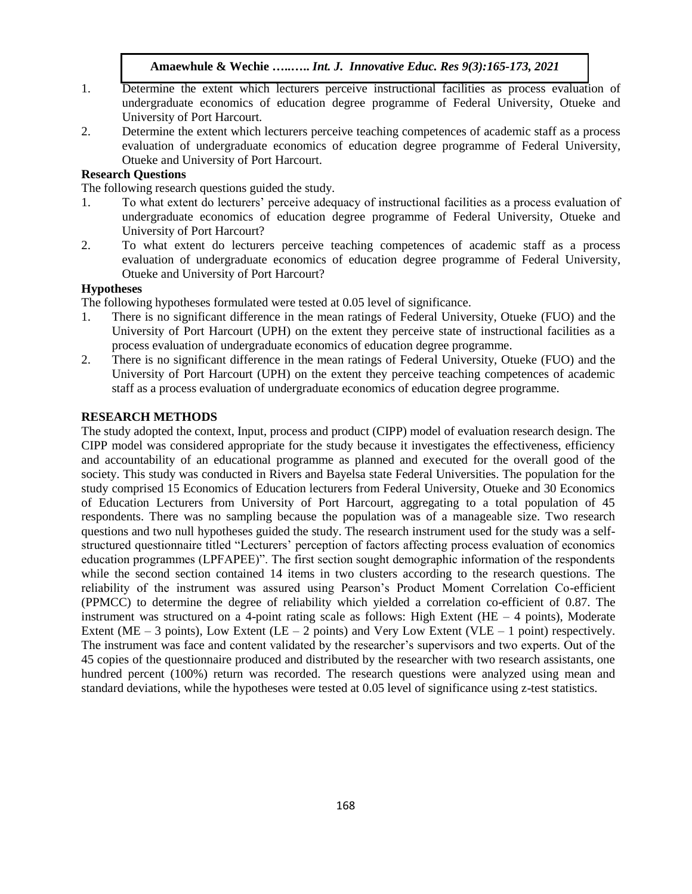- 1. Determine the extent which lecturers perceive instructional facilities as process evaluation of undergraduate economics of education degree programme of Federal University, Otueke and University of Port Harcourt.
- 2. Determine the extent which lecturers perceive teaching competences of academic staff as a process evaluation of undergraduate economics of education degree programme of Federal University, Otueke and University of Port Harcourt.

# **Research Questions**

The following research questions guided the study.

- 1. To what extent do lecturers' perceive adequacy of instructional facilities as a process evaluation of undergraduate economics of education degree programme of Federal University, Otueke and University of Port Harcourt?
- 2. To what extent do lecturers perceive teaching competences of academic staff as a process evaluation of undergraduate economics of education degree programme of Federal University, Otueke and University of Port Harcourt?

## **Hypotheses**

The following hypotheses formulated were tested at 0.05 level of significance.

- 1. There is no significant difference in the mean ratings of Federal University, Otueke (FUO) and the University of Port Harcourt (UPH) on the extent they perceive state of instructional facilities as a process evaluation of undergraduate economics of education degree programme.
- 2. There is no significant difference in the mean ratings of Federal University, Otueke (FUO) and the University of Port Harcourt (UPH) on the extent they perceive teaching competences of academic staff as a process evaluation of undergraduate economics of education degree programme.

#### **RESEARCH METHODS**

The study adopted the context, Input, process and product (CIPP) model of evaluation research design. The CIPP model was considered appropriate for the study because it investigates the effectiveness, efficiency and accountability of an educational programme as planned and executed for the overall good of the society. This study was conducted in Rivers and Bayelsa state Federal Universities. The population for the study comprised 15 Economics of Education lecturers from Federal University, Otueke and 30 Economics of Education Lecturers from University of Port Harcourt, aggregating to a total population of 45 respondents. There was no sampling because the population was of a manageable size. Two research questions and two null hypotheses guided the study. The research instrument used for the study was a selfstructured questionnaire titled "Lecturers' perception of factors affecting process evaluation of economics education programmes (LPFAPEE)". The first section sought demographic information of the respondents while the second section contained 14 items in two clusters according to the research questions. The reliability of the instrument was assured using Pearson's Product Moment Correlation Co-efficient (PPMCC) to determine the degree of reliability which yielded a correlation co-efficient of 0.87. The instrument was structured on a 4-point rating scale as follows: High Extent (HE  $-$  4 points), Moderate Extent (ME – 3 points), Low Extent (LE – 2 points) and Very Low Extent (VLE – 1 point) respectively. The instrument was face and content validated by the researcher's supervisors and two experts. Out of the 45 copies of the questionnaire produced and distributed by the researcher with two research assistants, one hundred percent (100%) return was recorded. The research questions were analyzed using mean and standard deviations, while the hypotheses were tested at 0.05 level of significance using z-test statistics.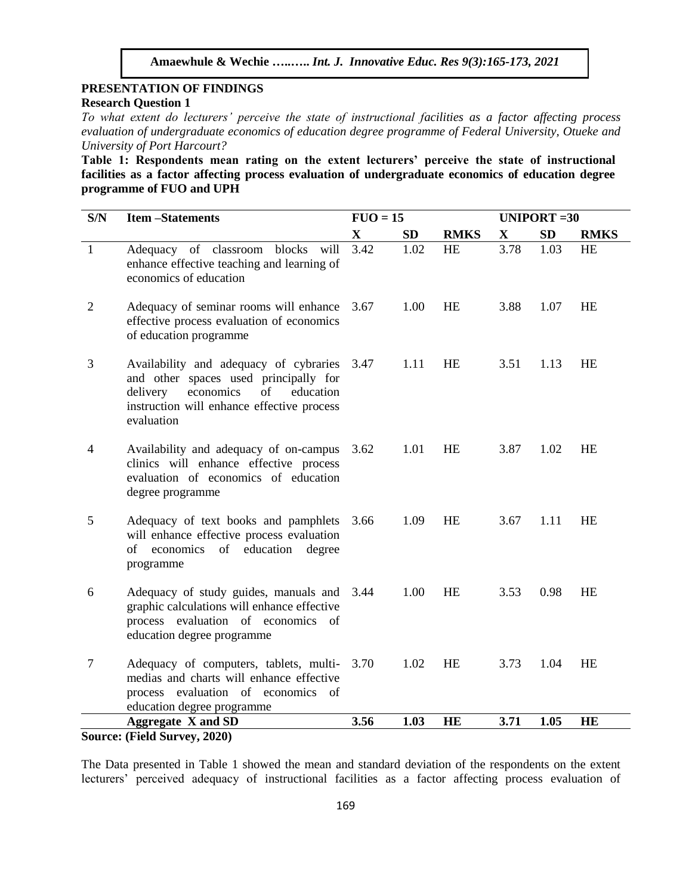# **PRESENTATION OF FINDINGS Research Question 1**

*To what extent do lecturers' perceive the state of instructional facilities as a factor affecting process evaluation of undergraduate economics of education degree programme of Federal University, Otueke and University of Port Harcourt?*

**Table 1: Respondents mean rating on the extent lecturers' perceive the state of instructional facilities as a factor affecting process evaluation of undergraduate economics of education degree programme of FUO and UPH** 

| S/N            | <b>Item-Statements</b>                                                                                                                                                                       | $FUO = 15$  |           |             |             | <b>UNIPORT = 30</b> |             |  |  |
|----------------|----------------------------------------------------------------------------------------------------------------------------------------------------------------------------------------------|-------------|-----------|-------------|-------------|---------------------|-------------|--|--|
|                |                                                                                                                                                                                              | $\mathbf X$ | <b>SD</b> | <b>RMKS</b> | $\mathbf X$ | <b>SD</b>           | <b>RMKS</b> |  |  |
| $\mathbf{1}$   | Adequacy of classroom<br>blocks<br>will<br>enhance effective teaching and learning of<br>economics of education                                                                              | 3.42        | 1.02      | <b>HE</b>   | 3.78        | 1.03                | <b>HE</b>   |  |  |
| $\overline{c}$ | Adequacy of seminar rooms will enhance<br>effective process evaluation of economics<br>of education programme                                                                                | 3.67        | 1.00      | HE          | 3.88        | 1.07                | HE          |  |  |
| 3              | Availability and adequacy of cybraries 3.47<br>and other spaces used principally for<br>delivery<br>economics<br>of<br>education<br>instruction will enhance effective process<br>evaluation |             | 1.11      | <b>HE</b>   | 3.51        | 1.13                | <b>HE</b>   |  |  |
| 4              | Availability and adequacy of on-campus<br>clinics will enhance effective process<br>evaluation of economics of education<br>degree programme                                                 | 3.62        | 1.01      | <b>HE</b>   | 3.87        | 1.02                | <b>HE</b>   |  |  |
| 5              | Adequacy of text books and pamphlets<br>will enhance effective process evaluation<br>of<br>economics<br>of education<br>degree<br>programme                                                  | 3.66        | 1.09      | <b>HE</b>   | 3.67        | 1.11                | <b>HE</b>   |  |  |
| 6              | Adequacy of study guides, manuals and 3.44<br>graphic calculations will enhance effective<br>process evaluation of economics of<br>education degree programme                                |             | 1.00      | <b>HE</b>   | 3.53        | 0.98                | <b>HE</b>   |  |  |
| 7              | Adequacy of computers, tablets, multi- 3.70<br>medias and charts will enhance effective<br>process evaluation of economics of<br>education degree programme                                  |             | 1.02      | HE          | 3.73        | 1.04                | <b>HE</b>   |  |  |
|                | <b>Aggregate X and SD</b>                                                                                                                                                                    | 3.56        | 1.03      | <b>HE</b>   | 3.71        | 1.05                | <b>HE</b>   |  |  |
|                | Source: (Field Survey, 2020)                                                                                                                                                                 |             |           |             |             |                     |             |  |  |

The Data presented in Table 1 showed the mean and standard deviation of the respondents on the extent

lecturers' perceived adequacy of instructional facilities as a factor affecting process evaluation of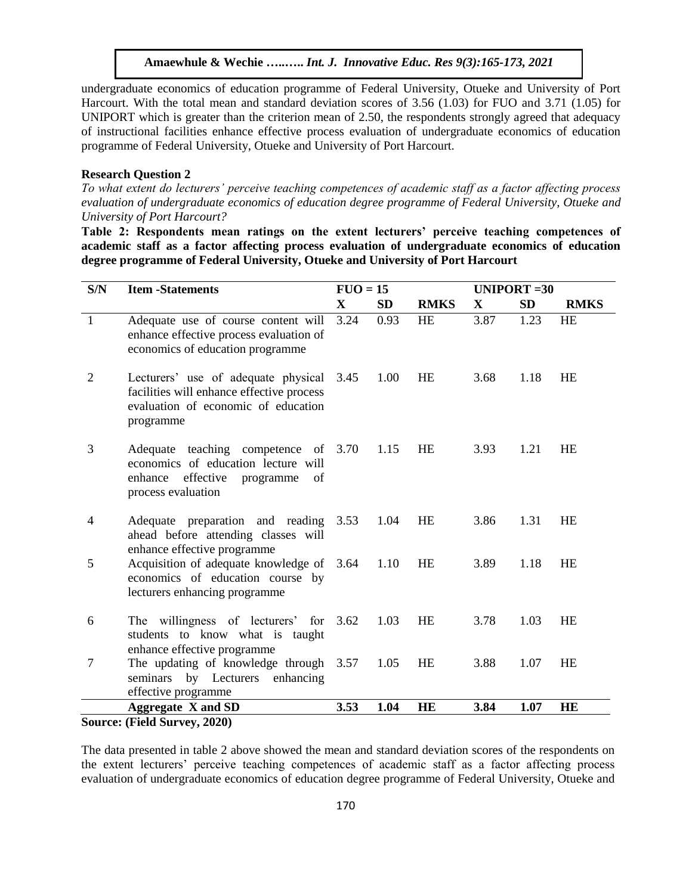undergraduate economics of education programme of Federal University, Otueke and University of Port Harcourt. With the total mean and standard deviation scores of 3.56 (1.03) for FUO and 3.71 (1.05) for UNIPORT which is greater than the criterion mean of 2.50, the respondents strongly agreed that adequacy of instructional facilities enhance effective process evaluation of undergraduate economics of education programme of Federal University, Otueke and University of Port Harcourt.

### **Research Question 2**

*To what extent do lecturers' perceive teaching competences of academic staff as a factor affecting process evaluation of undergraduate economics of education degree programme of Federal University, Otueke and University of Port Harcourt?*

**Table 2: Respondents mean ratings on the extent lecturers' perceive teaching competences of academic staff as a factor affecting process evaluation of undergraduate economics of education degree programme of Federal University, Otueke and University of Port Harcourt**

| $\mathbf X$<br><b>SD</b><br><b>RMKS</b><br>$\mathbf X$<br><b>SD</b>                                                                                                                    | <b>RMKS</b> |
|----------------------------------------------------------------------------------------------------------------------------------------------------------------------------------------|-------------|
|                                                                                                                                                                                        |             |
| 3.24<br>3.87<br>$\mathbf{1}$<br>0.93<br><b>HE</b><br>1.23<br>Adequate use of course content will<br>enhance effective process evaluation of<br>economics of education programme        | <b>HE</b>   |
| Lecturers' use of adequate physical<br><b>HE</b><br>2<br>3.45<br>1.00<br>3.68<br>1.18<br>facilities will enhance effective process<br>evaluation of economic of education<br>programme | HE          |
| 3<br>Adequate teaching competence of 3.70<br>1.15<br>HE<br>3.93<br>1.21<br>economics of education lecture will<br>enhance effective<br>of<br>programme<br>process evaluation           | HE          |
| HE<br>1.31<br>4<br>Adequate preparation and reading<br>3.53<br>1.04<br>3.86<br>ahead before attending classes will<br>enhance effective programme                                      | <b>HE</b>   |
| 5<br>Acquisition of adequate knowledge of 3.64<br><b>HE</b><br>1.10<br>3.89<br>1.18<br>economics of education course by<br>lecturers enhancing programme                               | <b>HE</b>   |
| The willingness of lecturers' for 3.62<br>HE<br>1.03<br>3.78<br>6<br>1.03<br>students to know what is taught<br>enhance effective programme                                            | <b>HE</b>   |
| 7<br>The updating of knowledge through 3.57<br>HE<br>1.07<br>1.05<br>3.88<br>seminars by Lecturers enhancing<br>effective programme                                                    | HE          |
| <b>Aggregate X and SD</b><br>3.53<br>1.04<br><b>HE</b><br>3.84<br>1.07<br>$\sigma$ $\sigma$ $\sigma$ $\sigma$<br>$\mathbf{C}$                                                          | <b>HE</b>   |

**Source: (Field Survey, 2020)**

The data presented in table 2 above showed the mean and standard deviation scores of the respondents on the extent lecturers' perceive teaching competences of academic staff as a factor affecting process evaluation of undergraduate economics of education degree programme of Federal University, Otueke and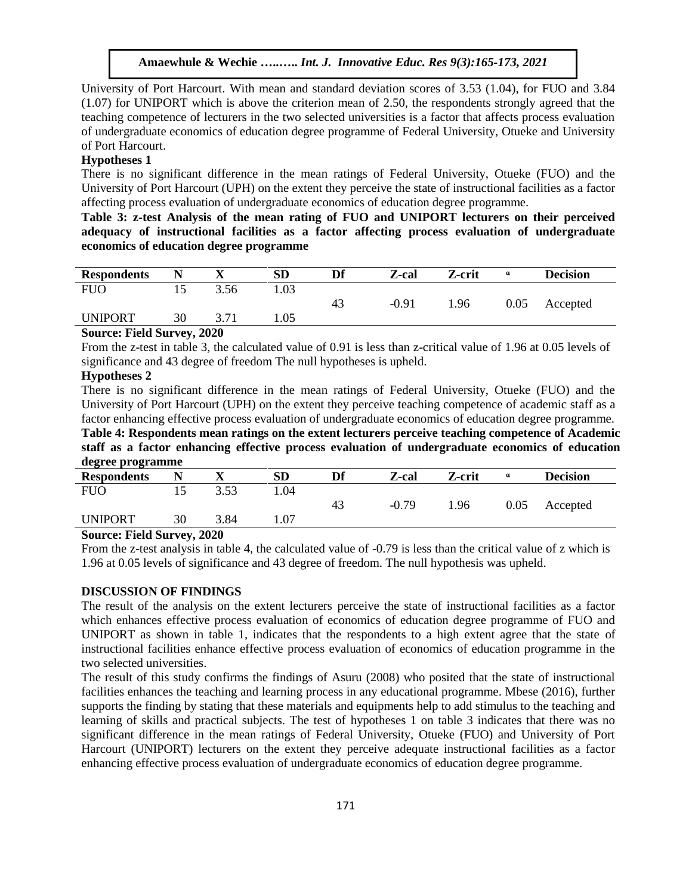University of Port Harcourt. With mean and standard deviation scores of 3.53 (1.04), for FUO and 3.84 (1.07) for UNIPORT which is above the criterion mean of 2.50, the respondents strongly agreed that the teaching competence of lecturers in the two selected universities is a factor that affects process evaluation of undergraduate economics of education degree programme of Federal University, Otueke and University of Port Harcourt.

#### **Hypotheses 1**

There is no significant difference in the mean ratings of Federal University, Otueke (FUO) and the University of Port Harcourt (UPH) on the extent they perceive the state of instructional facilities as a factor affecting process evaluation of undergraduate economics of education degree programme.

**Table 3: z-test Analysis of the mean rating of FUO and UNIPORT lecturers on their perceived adequacy of instructional facilities as a factor affecting process evaluation of undergraduate economics of education degree programme**

| <b>Respondents</b> |    |      | SD   | Df | Z-cal   | Z-crit | a    | <b>Decision</b> |  |
|--------------------|----|------|------|----|---------|--------|------|-----------------|--|
| <b>FUO</b>         |    | 3.56 | 1.03 |    |         |        |      |                 |  |
|                    |    |      |      | 43 | $-0.91$ | . 96   | 0.05 | Accepted        |  |
| <b>UNIPORT</b>     | 30 |      | 1.05 |    |         |        |      |                 |  |
|                    |    | .    |      |    |         |        |      |                 |  |

#### **Source: Field Survey, 2020**

From the z-test in table 3, the calculated value of 0.91 is less than z-critical value of 1.96 at 0.05 levels of significance and 43 degree of freedom The null hypotheses is upheld.

### **Hypotheses 2**

There is no significant difference in the mean ratings of Federal University, Otueke (FUO) and the University of Port Harcourt (UPH) on the extent they perceive teaching competence of academic staff as a factor enhancing effective process evaluation of undergraduate economics of education degree programme.

**Table 4: Respondents mean ratings on the extent lecturers perceive teaching competence of Academic staff as a factor enhancing effective process evaluation of undergraduate economics of education degree programme**

| ັ<br>.                              |    |                                  |           |    |         |        |      |                 |  |
|-------------------------------------|----|----------------------------------|-----------|----|---------|--------|------|-----------------|--|
| <b>Respondents</b>                  |    |                                  | <b>SD</b> | Df | Z-cal   | Z-crit | a    | <b>Decision</b> |  |
| <b>FUO</b>                          |    | 3.53                             | .04       |    |         |        |      |                 |  |
|                                     |    |                                  |           | 43 | $-0.79$ | .96    | 0.05 | Accepted        |  |
| <b>UNIPORT</b>                      | 30 | 3.84                             | 1.07      |    |         |        |      |                 |  |
| $\sim$<br>$\mathbf{E}$ $\mathbf{E}$ |    | $\mathbf{a}\mathbf{a}\mathbf{a}$ |           |    |         |        |      |                 |  |

#### **Source: Field Survey, 2020**

From the z-test analysis in table 4, the calculated value of -0.79 is less than the critical value of z which is 1.96 at 0.05 levels of significance and 43 degree of freedom. The null hypothesis was upheld.

# **DISCUSSION OF FINDINGS**

The result of the analysis on the extent lecturers perceive the state of instructional facilities as a factor which enhances effective process evaluation of economics of education degree programme of FUO and UNIPORT as shown in table 1, indicates that the respondents to a high extent agree that the state of instructional facilities enhance effective process evaluation of economics of education programme in the two selected universities.

The result of this study confirms the findings of Asuru (2008) who posited that the state of instructional facilities enhances the teaching and learning process in any educational programme. Mbese (2016), further supports the finding by stating that these materials and equipments help to add stimulus to the teaching and learning of skills and practical subjects. The test of hypotheses 1 on table 3 indicates that there was no significant difference in the mean ratings of Federal University, Otueke (FUO) and University of Port Harcourt (UNIPORT) lecturers on the extent they perceive adequate instructional facilities as a factor enhancing effective process evaluation of undergraduate economics of education degree programme.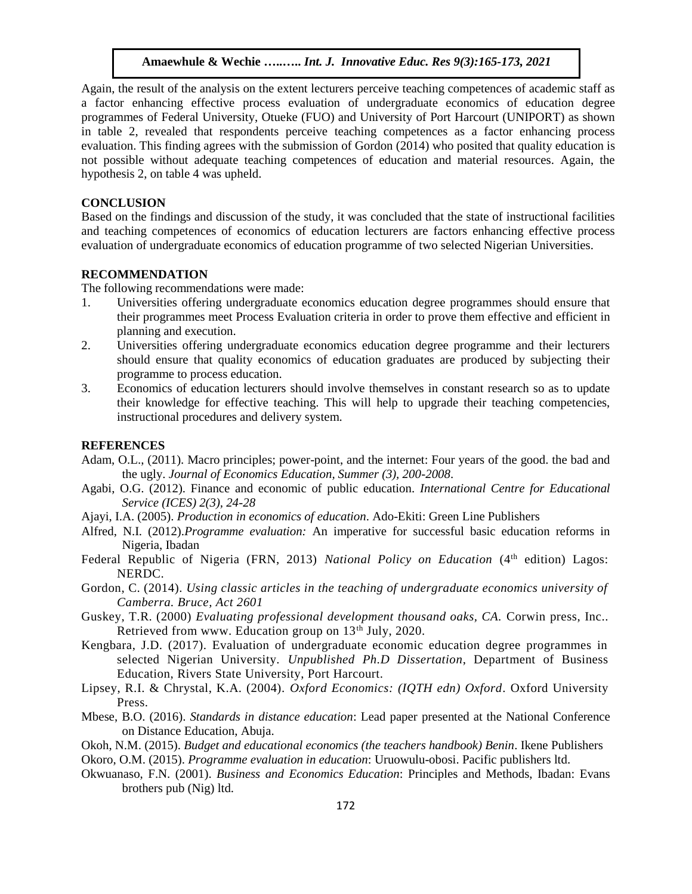Again, the result of the analysis on the extent lecturers perceive teaching competences of academic staff as a factor enhancing effective process evaluation of undergraduate economics of education degree programmes of Federal University, Otueke (FUO) and University of Port Harcourt (UNIPORT) as shown in table 2, revealed that respondents perceive teaching competences as a factor enhancing process evaluation. This finding agrees with the submission of Gordon (2014) who posited that quality education is not possible without adequate teaching competences of education and material resources. Again, the hypothesis 2, on table 4 was upheld.

#### **CONCLUSION**

Based on the findings and discussion of the study, it was concluded that the state of instructional facilities and teaching competences of economics of education lecturers are factors enhancing effective process evaluation of undergraduate economics of education programme of two selected Nigerian Universities.

# **RECOMMENDATION**

The following recommendations were made:

- 1. Universities offering undergraduate economics education degree programmes should ensure that their programmes meet Process Evaluation criteria in order to prove them effective and efficient in planning and execution.
- 2. Universities offering undergraduate economics education degree programme and their lecturers should ensure that quality economics of education graduates are produced by subjecting their programme to process education.
- 3. Economics of education lecturers should involve themselves in constant research so as to update their knowledge for effective teaching. This will help to upgrade their teaching competencies, instructional procedures and delivery system.

### **REFERENCES**

- Adam, O.L., (2011). Macro principles; power-point, and the internet: Four years of the good. the bad and the ugly. *Journal of Economics Education, Summer (3), 200-2008*.
- Agabi, O.G. (2012). Finance and economic of public education*. International Centre for Educational Service (ICES) 2(3), 24-28*
- Ajayi, I.A. (2005). *Production in economics of education*. Ado-Ekiti: Green Line Publishers
- Alfred, N.I. (2012).*Programme evaluation:* An imperative for successful basic education reforms in Nigeria, Ibadan
- Federal Republic of Nigeria (FRN, 2013) *National Policy on Education* (4<sup>th</sup> edition) Lagos: NERDC.
- Gordon, C. (2014). *Using classic articles in the teaching of undergraduate economics university of Camberra. Bruce, Act 2601*
- Guskey, T.R. (2000) *Evaluating professional development thousand oaks, CA.* Corwin press, Inc.. Retrieved from www. Education group on 13<sup>th</sup> July, 2020.
- Kengbara, J.D. (2017). Evaluation of undergraduate economic education degree programmes in selected Nigerian University. *Unpublished Ph.D Dissertation*, Department of Business Education, Rivers State University, Port Harcourt.
- Lipsey, R.I. & Chrystal, K.A. (2004). *Oxford Economics: (IQTH edn) Oxford*. Oxford University Press.
- Mbese, B.O. (2016). *Standards in distance education*: Lead paper presented at the National Conference on Distance Education, Abuja.
- Okoh, N.M. (2015). *Budget and educational economics (the teachers handbook) Benin*. Ikene Publishers

Okoro, O.M. (2015). *Programme evaluation in education*: Uruowulu-obosi. Pacific publishers ltd.

Okwuanaso, F.N. (2001). *Business and Economics Education*: Principles and Methods, Ibadan: Evans brothers pub (Nig) ltd.